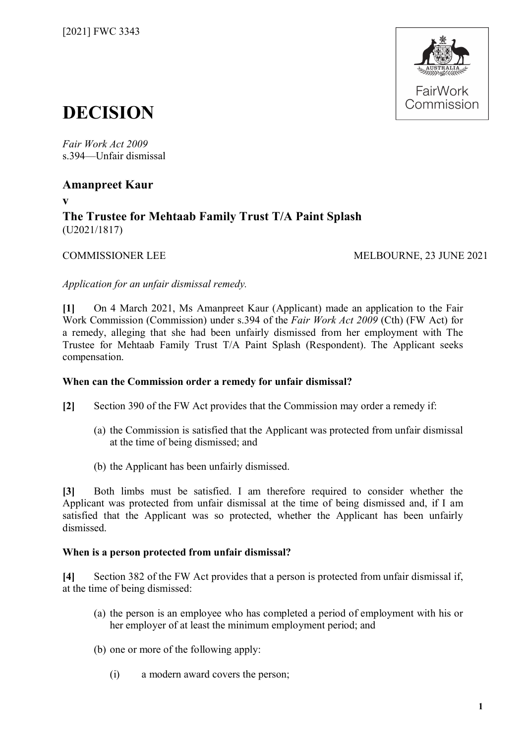

# **DECISION**

*Fair Work Act 2009*  s.394—Unfair dismissal

# **Amanpreet Kaur**

**v**

# **The Trustee for Mehtaab Family Trust T/A Paint Splash** (U2021/1817)

COMMISSIONER LEE MELBOURNE, 23 JUNE 2021

*Application for an unfair dismissal remedy.*

**[1]** On 4 March 2021, Ms Amanpreet Kaur (Applicant) made an application to the Fair Work Commission (Commission) under s.394 of the *Fair Work Act 2009* (Cth) (FW Act) for a remedy, alleging that she had been unfairly dismissed from her employment with The Trustee for Mehtaab Family Trust T/A Paint Splash (Respondent). The Applicant seeks compensation.

# **When can the Commission order a remedy for unfair dismissal?**

- **[2]** Section 390 of the FW Act provides that the Commission may order a remedy if:
	- (a) the Commission is satisfied that the Applicant was protected from unfair dismissal at the time of being dismissed; and
	- (b) the Applicant has been unfairly dismissed.

**[3]** Both limbs must be satisfied. I am therefore required to consider whether the Applicant was protected from unfair dismissal at the time of being dismissed and, if I am satisfied that the Applicant was so protected, whether the Applicant has been unfairly dismissed.

# **When is a person protected from unfair dismissal?**

**[4]** Section 382 of the FW Act provides that a person is protected from unfair dismissal if, at the time of being dismissed:

- (a) the person is an employee who has completed a period of employment with his or her employer of at least the minimum employment period; and
- (b) one or more of the following apply:
	- (i) a modern award covers the person;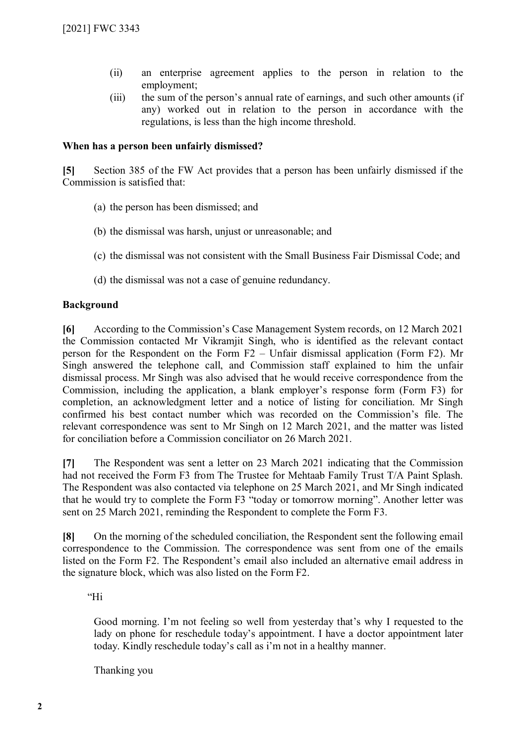- (ii) an enterprise agreement applies to the person in relation to the employment;
- (iii) the sum of the person's annual rate of earnings, and such other amounts (if any) worked out in relation to the person in accordance with the regulations, is less than the high income threshold.

#### **When has a person been unfairly dismissed?**

**[5]** Section 385 of the FW Act provides that a person has been unfairly dismissed if the Commission is satisfied that:

- (a) the person has been dismissed; and
- (b) the dismissal was harsh, unjust or unreasonable; and
- (c) the dismissal was not consistent with the Small Business Fair Dismissal Code; and
- (d) the dismissal was not a case of genuine redundancy.

#### **Background**

**[6]** According to the Commission's Case Management System records, on 12 March 2021 the Commission contacted Mr Vikramjit Singh, who is identified as the relevant contact person for the Respondent on the Form F2 – Unfair dismissal application (Form F2). Mr Singh answered the telephone call, and Commission staff explained to him the unfair dismissal process. Mr Singh was also advised that he would receive correspondence from the Commission, including the application, a blank employer's response form (Form F3) for completion, an acknowledgment letter and a notice of listing for conciliation. Mr Singh confirmed his best contact number which was recorded on the Commission's file. The relevant correspondence was sent to Mr Singh on 12 March 2021, and the matter was listed for conciliation before a Commission conciliator on 26 March 2021.

**[7]** The Respondent was sent a letter on 23 March 2021 indicating that the Commission had not received the Form F3 from The Trustee for Mehtaab Family Trust T/A Paint Splash. The Respondent was also contacted via telephone on 25 March 2021, and Mr Singh indicated that he would try to complete the Form F3 "today or tomorrow morning". Another letter was sent on 25 March 2021, reminding the Respondent to complete the Form F3.

**[8]** On the morning of the scheduled conciliation, the Respondent sent the following email correspondence to the Commission. The correspondence was sent from one of the emails listed on the Form F2. The Respondent's email also included an alternative email address in the signature block, which was also listed on the Form F2.

"Hi

Good morning. I'm not feeling so well from yesterday that's why I requested to the lady on phone for reschedule today's appointment. I have a doctor appointment later today. Kindly reschedule today's call as i'm not in a healthy manner.

Thanking you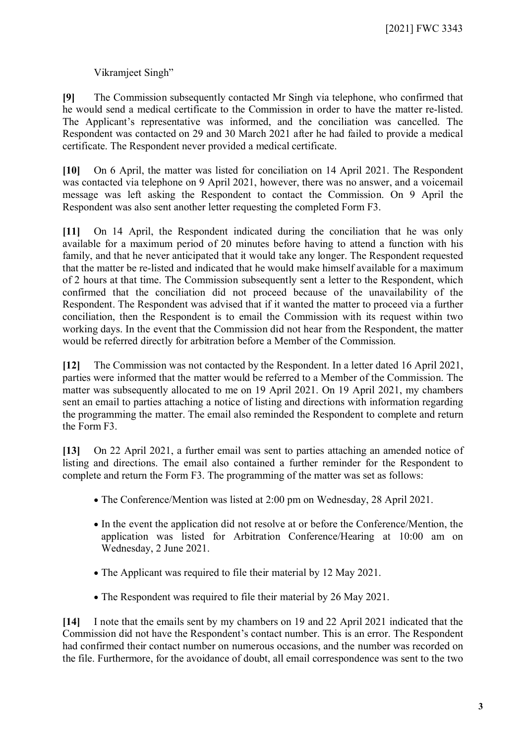# Vikramjeet Singh"

**[9]** The Commission subsequently contacted Mr Singh via telephone, who confirmed that he would send a medical certificate to the Commission in order to have the matter re-listed. The Applicant's representative was informed, and the conciliation was cancelled. The Respondent was contacted on 29 and 30 March 2021 after he had failed to provide a medical certificate. The Respondent never provided a medical certificate.

**[10]** On 6 April, the matter was listed for conciliation on 14 April 2021. The Respondent was contacted via telephone on 9 April 2021, however, there was no answer, and a voicemail message was left asking the Respondent to contact the Commission. On 9 April the Respondent was also sent another letter requesting the completed Form F3.

**[11]** On 14 April, the Respondent indicated during the conciliation that he was only available for a maximum period of 20 minutes before having to attend a function with his family, and that he never anticipated that it would take any longer. The Respondent requested that the matter be re-listed and indicated that he would make himself available for a maximum of 2 hours at that time. The Commission subsequently sent a letter to the Respondent, which confirmed that the conciliation did not proceed because of the unavailability of the Respondent. The Respondent was advised that if it wanted the matter to proceed via a further conciliation, then the Respondent is to email the Commission with its request within two working days. In the event that the Commission did not hear from the Respondent, the matter would be referred directly for arbitration before a Member of the Commission.

**[12]** The Commission was not contacted by the Respondent. In a letter dated 16 April 2021, parties were informed that the matter would be referred to a Member of the Commission. The matter was subsequently allocated to me on 19 April 2021. On 19 April 2021, my chambers sent an email to parties attaching a notice of listing and directions with information regarding the programming the matter. The email also reminded the Respondent to complete and return the Form F3.

**[13]** On 22 April 2021, a further email was sent to parties attaching an amended notice of listing and directions. The email also contained a further reminder for the Respondent to complete and return the Form F3. The programming of the matter was set as follows:

- The Conference/Mention was listed at 2:00 pm on Wednesday, 28 April 2021.
- In the event the application did not resolve at or before the Conference/Mention, the application was listed for Arbitration Conference/Hearing at 10:00 am on Wednesday, 2 June 2021.
- The Applicant was required to file their material by 12 May 2021.
- The Respondent was required to file their material by 26 May 2021.

**[14]** I note that the emails sent by my chambers on 19 and 22 April 2021 indicated that the Commission did not have the Respondent's contact number. This is an error. The Respondent had confirmed their contact number on numerous occasions, and the number was recorded on the file. Furthermore, for the avoidance of doubt, all email correspondence was sent to the two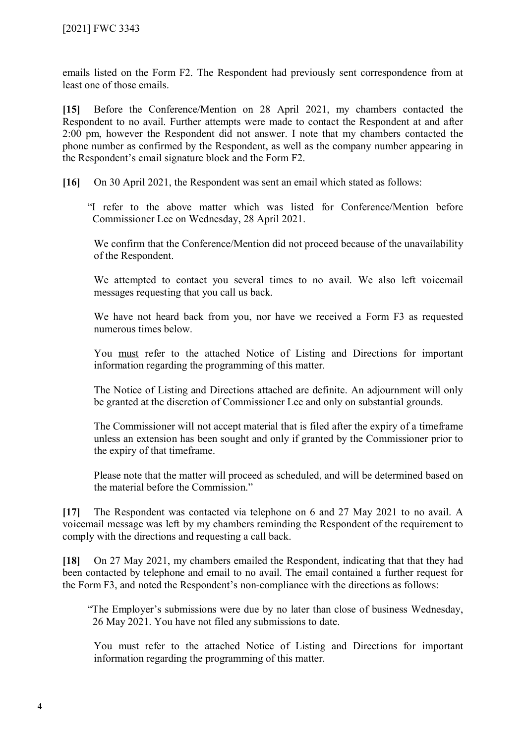emails listed on the Form F2. The Respondent had previously sent correspondence from at least one of those emails.

**[15]** Before the Conference/Mention on 28 April 2021, my chambers contacted the Respondent to no avail. Further attempts were made to contact the Respondent at and after 2:00 pm, however the Respondent did not answer. I note that my chambers contacted the phone number as confirmed by the Respondent, as well as the company number appearing in the Respondent's email signature block and the Form F2.

**[16]** On 30 April 2021, the Respondent was sent an email which stated as follows:

"I refer to the above matter which was listed for Conference/Mention before Commissioner Lee on Wednesday, 28 April 2021.

We confirm that the Conference/Mention did not proceed because of the unavailability of the Respondent.

We attempted to contact you several times to no avail. We also left voicemail messages requesting that you call us back.

We have not heard back from you, nor have we received a Form F3 as requested numerous times below.

You must refer to the attached Notice of Listing and Directions for important information regarding the programming of this matter.

The Notice of Listing and Directions attached are definite. An adjournment will only be granted at the discretion of Commissioner Lee and only on substantial grounds.

The Commissioner will not accept material that is filed after the expiry of a timeframe unless an extension has been sought and only if granted by the Commissioner prior to the expiry of that timeframe.

Please note that the matter will proceed as scheduled, and will be determined based on the material before the Commission."

**[17]** The Respondent was contacted via telephone on 6 and 27 May 2021 to no avail. A voicemail message was left by my chambers reminding the Respondent of the requirement to comply with the directions and requesting a call back.

**[18]** On 27 May 2021, my chambers emailed the Respondent, indicating that that they had been contacted by telephone and email to no avail. The email contained a further request for the Form F3, and noted the Respondent's non-compliance with the directions as follows:

"The Employer's submissions were due by no later than close of business Wednesday, 26 May 2021. You have not filed any submissions to date.

You must refer to the attached Notice of Listing and Directions for important information regarding the programming of this matter.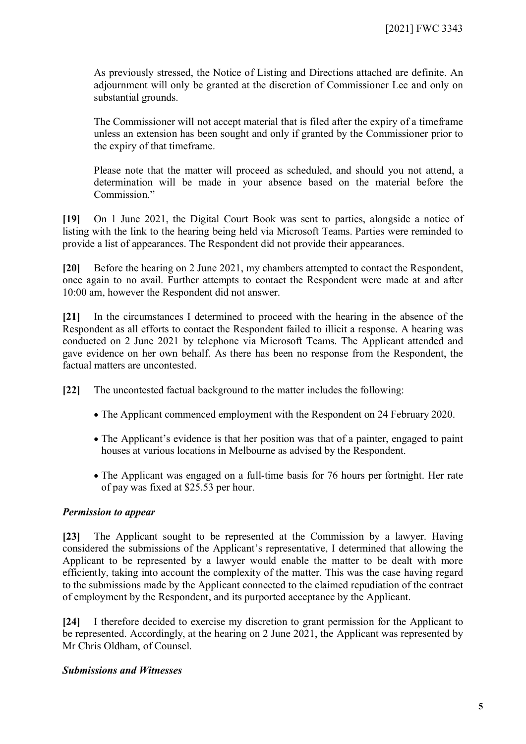As previously stressed, the Notice of Listing and Directions attached are definite. An adjournment will only be granted at the discretion of Commissioner Lee and only on substantial grounds.

The Commissioner will not accept material that is filed after the expiry of a timeframe unless an extension has been sought and only if granted by the Commissioner prior to the expiry of that timeframe.

Please note that the matter will proceed as scheduled, and should you not attend, a determination will be made in your absence based on the material before the Commission<sup>"</sup>

**[19]** On 1 June 2021, the Digital Court Book was sent to parties, alongside a notice of listing with the link to the hearing being held via Microsoft Teams. Parties were reminded to provide a list of appearances. The Respondent did not provide their appearances.

**[20]** Before the hearing on 2 June 2021, my chambers attempted to contact the Respondent, once again to no avail. Further attempts to contact the Respondent were made at and after 10:00 am, however the Respondent did not answer.

**[21]** In the circumstances I determined to proceed with the hearing in the absence of the Respondent as all efforts to contact the Respondent failed to illicit a response. A hearing was conducted on 2 June 2021 by telephone via Microsoft Teams. The Applicant attended and gave evidence on her own behalf. As there has been no response from the Respondent, the factual matters are uncontested.

- **[22]** The uncontested factual background to the matter includes the following:
	- The Applicant commenced employment with the Respondent on 24 February 2020.
	- The Applicant's evidence is that her position was that of a painter, engaged to paint houses at various locations in Melbourne as advised by the Respondent.
	- The Applicant was engaged on a full-time basis for 76 hours per fortnight. Her rate of pay was fixed at \$25.53 per hour.

#### *Permission to appear*

**[23]** The Applicant sought to be represented at the Commission by a lawyer. Having considered the submissions of the Applicant's representative, I determined that allowing the Applicant to be represented by a lawyer would enable the matter to be dealt with more efficiently, taking into account the complexity of the matter. This was the case having regard to the submissions made by the Applicant connected to the claimed repudiation of the contract of employment by the Respondent, and its purported acceptance by the Applicant.

**[24]** I therefore decided to exercise my discretion to grant permission for the Applicant to be represented. Accordingly, at the hearing on 2 June 2021, the Applicant was represented by Mr Chris Oldham, of Counsel.

#### *Submissions and Witnesses*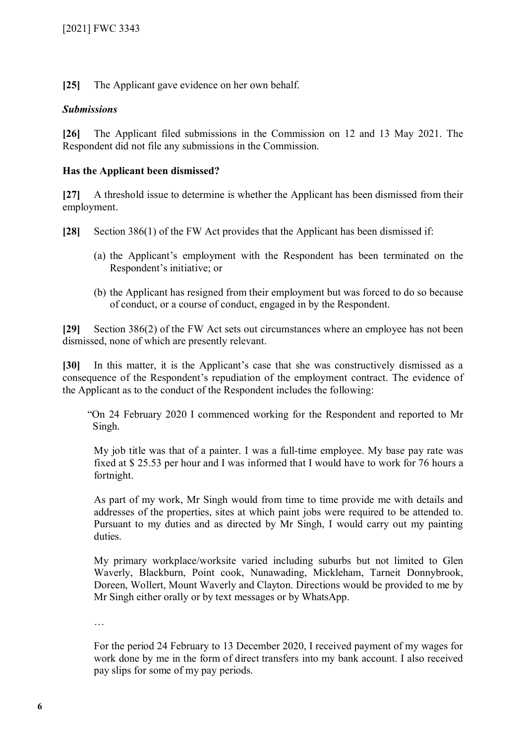**[25]** The Applicant gave evidence on her own behalf.

# *Submissions*

**[26]** The Applicant filed submissions in the Commission on 12 and 13 May 2021. The Respondent did not file any submissions in the Commission.

# **Has the Applicant been dismissed?**

**[27]** A threshold issue to determine is whether the Applicant has been dismissed from their employment.

**[28]** Section 386(1) of the FW Act provides that the Applicant has been dismissed if:

- (a) the Applicant's employment with the Respondent has been terminated on the Respondent's initiative; or
- (b) the Applicant has resigned from their employment but was forced to do so because of conduct, or a course of conduct, engaged in by the Respondent.

**[29]** Section 386(2) of the FW Act sets out circumstances where an employee has not been dismissed, none of which are presently relevant.

**[30]** In this matter, it is the Applicant's case that she was constructively dismissed as a consequence of the Respondent's repudiation of the employment contract. The evidence of the Applicant as to the conduct of the Respondent includes the following:

"On 24 February 2020 I commenced working for the Respondent and reported to Mr Singh.

My job title was that of a painter. I was a full-time employee. My base pay rate was fixed at \$ 25.53 per hour and I was informed that I would have to work for 76 hours a fortnight.

As part of my work, Mr Singh would from time to time provide me with details and addresses of the properties, sites at which paint jobs were required to be attended to. Pursuant to my duties and as directed by Mr Singh, I would carry out my painting duties.

My primary workplace/worksite varied including suburbs but not limited to Glen Waverly, Blackburn, Point cook, Nunawading, Mickleham, Tarneit Donnybrook, Doreen, Wollert, Mount Waverly and Clayton. Directions would be provided to me by Mr Singh either orally or by text messages or by WhatsApp.

…

For the period 24 February to 13 December 2020, I received payment of my wages for work done by me in the form of direct transfers into my bank account. I also received pay slips for some of my pay periods.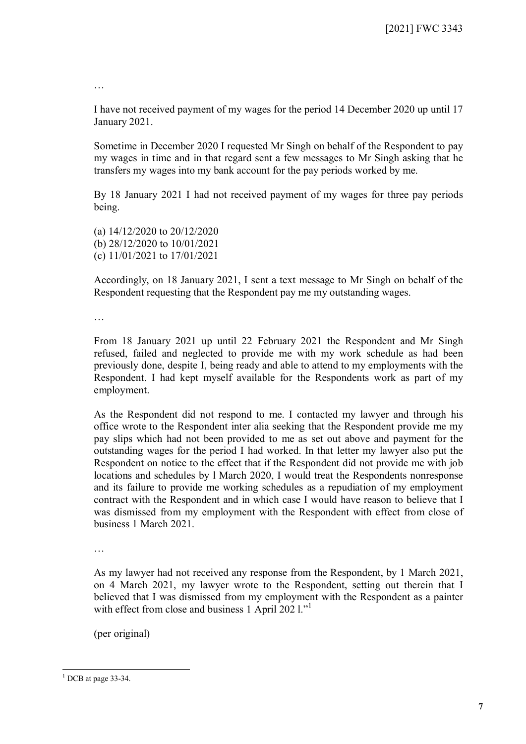…

I have not received payment of my wages for the period 14 December 2020 up until 17 January 2021.

Sometime in December 2020 I requested Mr Singh on behalf of the Respondent to pay my wages in time and in that regard sent a few messages to Mr Singh asking that he transfers my wages into my bank account for the pay periods worked by me.

By 18 January 2021 I had not received payment of my wages for three pay periods being.

(a) 14/12/2020 to 20/12/2020 (b) 28/12/2020 to 10/01/2021 (c) 11/01/2021 to 17/01/2021

Accordingly, on 18 January 2021, I sent a text message to Mr Singh on behalf of the Respondent requesting that the Respondent pay me my outstanding wages.

…

From 18 January 2021 up until 22 February 2021 the Respondent and Mr Singh refused, failed and neglected to provide me with my work schedule as had been previously done, despite I, being ready and able to attend to my employments with the Respondent. I had kept myself available for the Respondents work as part of my employment.

As the Respondent did not respond to me. I contacted my lawyer and through his office wrote to the Respondent inter alia seeking that the Respondent provide me my pay slips which had not been provided to me as set out above and payment for the outstanding wages for the period I had worked. In that letter my lawyer also put the Respondent on notice to the effect that if the Respondent did not provide me with job locations and schedules by l March 2020, I would treat the Respondents nonresponse and its failure to provide me working schedules as a repudiation of my employment contract with the Respondent and in which case I would have reason to believe that I was dismissed from my employment with the Respondent with effect from close of business 1 March 2021.

…

As my lawyer had not received any response from the Respondent, by 1 March 2021, on 4 March 2021, my lawyer wrote to the Respondent, setting out therein that I believed that I was dismissed from my employment with the Respondent as a painter with effect from close and business  $1$  April 202  $1$ ."

(per original)

<span id="page-6-0"></span> $1$  DCB at page 33-34.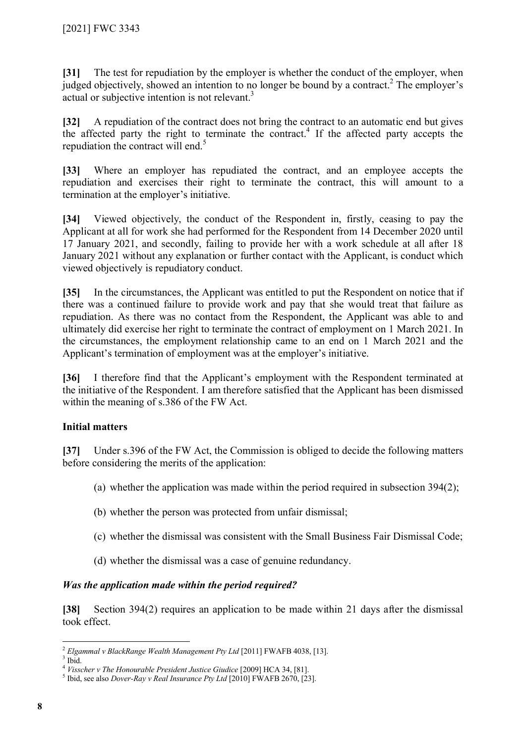**[31]** The test for repudiation by the employer is whether the conduct of the employer, when judged objectively, showed an intention to no longer be bound by a contract.<sup>[2](#page-7-0)</sup> The employer's actual or subjective intention is not relevant.<sup>[3](#page-7-1)</sup>

**[32]** A repudiation of the contract does not bring the contract to an automatic end but gives the affected party the right to terminate the contract.<sup>[4](#page-7-2)</sup> If the affected party accepts the repudiation the contract will end.<sup>[5](#page-7-3)</sup>

**[33]** Where an employer has repudiated the contract, and an employee accepts the repudiation and exercises their right to terminate the contract, this will amount to a termination at the employer's initiative.

**[34]** Viewed objectively, the conduct of the Respondent in, firstly, ceasing to pay the Applicant at all for work she had performed for the Respondent from 14 December 2020 until 17 January 2021, and secondly, failing to provide her with a work schedule at all after 18 January 2021 without any explanation or further contact with the Applicant, is conduct which viewed objectively is repudiatory conduct.

**[35]** In the circumstances, the Applicant was entitled to put the Respondent on notice that if there was a continued failure to provide work and pay that she would treat that failure as repudiation. As there was no contact from the Respondent, the Applicant was able to and ultimately did exercise her right to terminate the contract of employment on 1 March 2021. In the circumstances, the employment relationship came to an end on 1 March 2021 and the Applicant's termination of employment was at the employer's initiative.

**[36]** I therefore find that the Applicant's employment with the Respondent terminated at the initiative of the Respondent. I am therefore satisfied that the Applicant has been dismissed within the meaning of s.386 of the FW Act.

# **Initial matters**

**[37]** Under s.396 of the FW Act, the Commission is obliged to decide the following matters before considering the merits of the application:

- (a) whether the application was made within the period required in subsection 394(2);
- (b) whether the person was protected from unfair dismissal;
- (c) whether the dismissal was consistent with the Small Business Fair Dismissal Code;
- (d) whether the dismissal was a case of genuine redundancy.

# *Was the application made within the period required?*

**[38]** Section 394(2) requires an application to be made within 21 days after the dismissal took effect.

<span id="page-7-0"></span> $\overline{a}$ <sup>2</sup> *Elgammal v BlackRange Wealth Management Pty Ltd* [2011] FWAFB 4038, [13].

<span id="page-7-1"></span> $3$  Ibid.

<sup>4</sup> *Visscher v The Honourable President Justice Giudice* [2009] HCA 34, [81].

<span id="page-7-3"></span><span id="page-7-2"></span><sup>5</sup> Ibid, see also *Dover-Ray v Real Insurance Pty Ltd* [2010] FWAFB 2670, [23].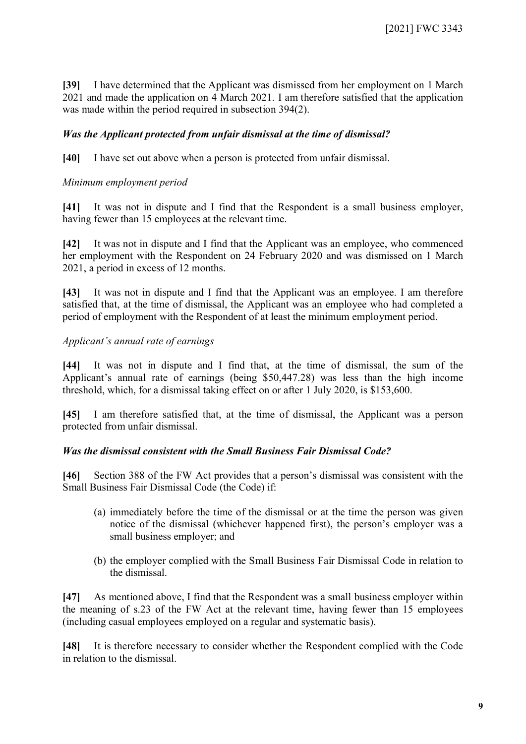**[39]** I have determined that the Applicant was dismissed from her employment on 1 March 2021 and made the application on 4 March 2021. I am therefore satisfied that the application was made within the period required in subsection 394(2).

# *Was the Applicant protected from unfair dismissal at the time of dismissal?*

**[40]** I have set out above when a person is protected from unfair dismissal.

#### *Minimum employment period*

**[41]** It was not in dispute and I find that the Respondent is a small business employer, having fewer than 15 employees at the relevant time.

**[42]** It was not in dispute and I find that the Applicant was an employee, who commenced her employment with the Respondent on 24 February 2020 and was dismissed on 1 March 2021, a period in excess of 12 months.

**[43]** It was not in dispute and I find that the Applicant was an employee. I am therefore satisfied that, at the time of dismissal, the Applicant was an employee who had completed a period of employment with the Respondent of at least the minimum employment period.

#### *Applicant's annual rate of earnings*

**[44]** It was not in dispute and I find that, at the time of dismissal, the sum of the Applicant's annual rate of earnings (being \$50,447.28) was less than the high income threshold, which, for a dismissal taking effect on or after 1 July 2020, is \$153,600.

**[45]** I am therefore satisfied that, at the time of dismissal, the Applicant was a person protected from unfair dismissal.

#### *Was the dismissal consistent with the Small Business Fair Dismissal Code?*

**[46]** Section 388 of the FW Act provides that a person's dismissal was consistent with the Small Business Fair Dismissal Code (the Code) if:

- (a) immediately before the time of the dismissal or at the time the person was given notice of the dismissal (whichever happened first), the person's employer was a small business employer; and
- (b) the employer complied with the Small Business Fair Dismissal Code in relation to the dismissal.

**[47]** As mentioned above, I find that the Respondent was a small business employer within the meaning of s.23 of the FW Act at the relevant time, having fewer than 15 employees (including casual employees employed on a regular and systematic basis).

**[48]** It is therefore necessary to consider whether the Respondent complied with the Code in relation to the dismissal.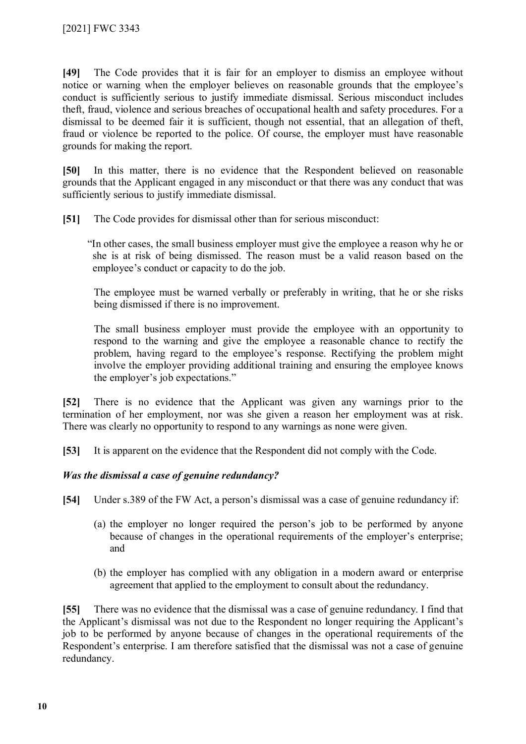**[49]** The Code provides that it is fair for an employer to dismiss an employee without notice or warning when the employer believes on reasonable grounds that the employee's conduct is sufficiently serious to justify immediate dismissal. Serious misconduct includes theft, fraud, violence and serious breaches of occupational health and safety procedures. For a dismissal to be deemed fair it is sufficient, though not essential, that an allegation of theft. fraud or violence be reported to the police. Of course, the employer must have reasonable grounds for making the report.

**[50]** In this matter, there is no evidence that the Respondent believed on reasonable grounds that the Applicant engaged in any misconduct or that there was any conduct that was sufficiently serious to justify immediate dismissal.

**[51]** The Code provides for dismissal other than for serious misconduct:

"In other cases, the small business employer must give the employee a reason why he or she is at risk of being dismissed. The reason must be a valid reason based on the employee's conduct or capacity to do the job.

The employee must be warned verbally or preferably in writing, that he or she risks being dismissed if there is no improvement.

The small business employer must provide the employee with an opportunity to respond to the warning and give the employee a reasonable chance to rectify the problem, having regard to the employee's response. Rectifying the problem might involve the employer providing additional training and ensuring the employee knows the employer's job expectations."

**[52]** There is no evidence that the Applicant was given any warnings prior to the termination of her employment, nor was she given a reason her employment was at risk. There was clearly no opportunity to respond to any warnings as none were given.

**[53]** It is apparent on the evidence that the Respondent did not comply with the Code.

# *Was the dismissal a case of genuine redundancy?*

**[54]** Under s.389 of the FW Act, a person's dismissal was a case of genuine redundancy if:

- (a) the employer no longer required the person's job to be performed by anyone because of changes in the operational requirements of the employer's enterprise; and
- (b) the employer has complied with any obligation in a modern award or enterprise agreement that applied to the employment to consult about the redundancy.

**[55]** There was no evidence that the dismissal was a case of genuine redundancy. I find that the Applicant's dismissal was not due to the Respondent no longer requiring the Applicant's job to be performed by anyone because of changes in the operational requirements of the Respondent's enterprise. I am therefore satisfied that the dismissal was not a case of genuine redundancy.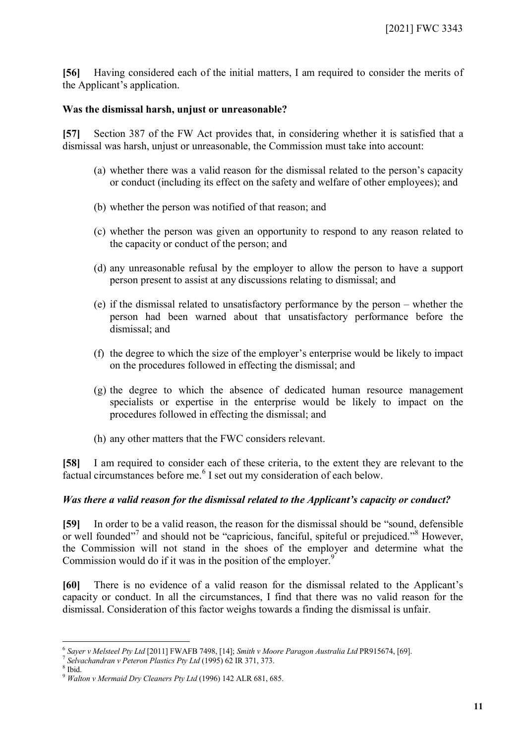**[56]** Having considered each of the initial matters, I am required to consider the merits of the Applicant's application.

#### **Was the dismissal harsh, unjust or unreasonable?**

**[57]** Section 387 of the FW Act provides that, in considering whether it is satisfied that a dismissal was harsh, unjust or unreasonable, the Commission must take into account:

- (a) whether there was a valid reason for the dismissal related to the person's capacity or conduct (including its effect on the safety and welfare of other employees); and
- (b) whether the person was notified of that reason; and
- (c) whether the person was given an opportunity to respond to any reason related to the capacity or conduct of the person; and
- (d) any unreasonable refusal by the employer to allow the person to have a support person present to assist at any discussions relating to dismissal; and
- (e) if the dismissal related to unsatisfactory performance by the person whether the person had been warned about that unsatisfactory performance before the dismissal; and
- (f) the degree to which the size of the employer's enterprise would be likely to impact on the procedures followed in effecting the dismissal; and
- (g) the degree to which the absence of dedicated human resource management specialists or expertise in the enterprise would be likely to impact on the procedures followed in effecting the dismissal; and
- (h) any other matters that the FWC considers relevant.

**[58]** I am required to consider each of these criteria, to the extent they are relevant to the factual circumstances before me.<sup>[6](#page-10-0)</sup> I set out my consideration of each below.

# *Was there a valid reason for the dismissal related to the Applicant's capacity or conduct?*

**[59]** In order to be a valid reason, the reason for the dismissal should be "sound, defensible or well founded"<sup>[7](#page-10-1)</sup> and should not be "capricious, fanciful, spiteful or prejudiced."<sup>[8](#page-10-2)</sup> However, the Commission will not stand in the shoes of the employer and determine what the Commission would do if it was in the position of the employer.<sup>[9](#page-10-3)</sup>

**[60]** There is no evidence of a valid reason for the dismissal related to the Applicant's capacity or conduct. In all the circumstances, I find that there was no valid reason for the dismissal. Consideration of this factor weighs towards a finding the dismissal is unfair.

 $\overline{a}$ 6 *Sayer v Melsteel Pty Ltd* [2011] FWAFB 7498, [14]; *[Smith v Moore Paragon Australia Ltd](https://www.fwc.gov.au/documents/alldocuments/pr915674.htm)* PR915674, [69].

<span id="page-10-2"></span><span id="page-10-1"></span><span id="page-10-0"></span><sup>7</sup> *Selvachandran v Peteron Plastics Pty Ltd* (1995) 62 IR 371, 373.

<sup>8</sup> Ibid.

<span id="page-10-3"></span><sup>9</sup> *Walton v Mermaid Dry Cleaners Pty Ltd* [\(1996\) 142 ALR 681,](http://www.fwa.gov.au/documents/Benchbookresources/unfairdismissals/Walton_v_Mermaid_Dry_Cleaners.pdf) 685.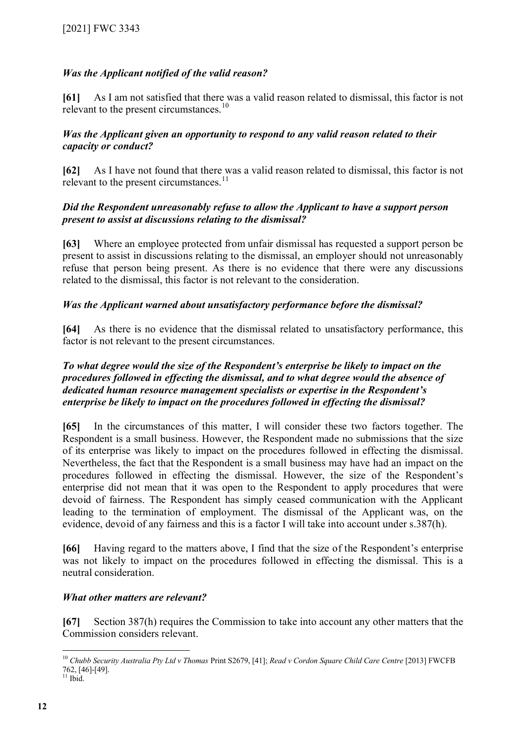# *Was the Applicant notified of the valid reason?*

**[61]** As I am not satisfied that there was a valid reason related to dismissal, this factor is not relevant to the present circumstances.<sup>[10](#page-11-0)</sup>

# *Was the Applicant given an opportunity to respond to any valid reason related to their capacity or conduct?*

**[62]** As I have not found that there was a valid reason related to dismissal, this factor is not relevant to the present circumstances.<sup>[11](#page-11-1)</sup>

# *Did the Respondent unreasonably refuse to allow the Applicant to have a support person present to assist at discussions relating to the dismissal?*

**[63]** Where an employee protected from unfair dismissal has requested a support person be present to assist in discussions relating to the dismissal, an employer should not unreasonably refuse that person being present. As there is no evidence that there were any discussions related to the dismissal, this factor is not relevant to the consideration.

# *Was the Applicant warned about unsatisfactory performance before the dismissal?*

**[64]** As there is no evidence that the dismissal related to unsatisfactory performance, this factor is not relevant to the present circumstances.

#### *To what degree would the size of the Respondent's enterprise be likely to impact on the procedures followed in effecting the dismissal, and to what degree would the absence of dedicated human resource management specialists or expertise in the Respondent's enterprise be likely to impact on the procedures followed in effecting the dismissal?*

**[65]** In the circumstances of this matter, I will consider these two factors together. The Respondent is a small business. However, the Respondent made no submissions that the size of its enterprise was likely to impact on the procedures followed in effecting the dismissal. Nevertheless, the fact that the Respondent is a small business may have had an impact on the procedures followed in effecting the dismissal. However, the size of the Respondent's enterprise did not mean that it was open to the Respondent to apply procedures that were devoid of fairness. The Respondent has simply ceased communication with the Applicant leading to the termination of employment. The dismissal of the Applicant was, on the evidence, devoid of any fairness and this is a factor I will take into account under s.387(h).

**[66]** Having regard to the matters above, I find that the size of the Respondent's enterprise was not likely to impact on the procedures followed in effecting the dismissal. This is a neutral consideration.

# *What other matters are relevant?*

**[67]** Section 387(h) requires the Commission to take into account any other matters that the Commission considers relevant.

<span id="page-11-0"></span><sup>10</sup> *Chubb Security Australia Pty Ltd v Thomas* Print S2679, [41]; *Read v Cordon Square Child Care Centre* [2013] FWCFB 762, [46]-[49].

<span id="page-11-1"></span> $11$  Ibid.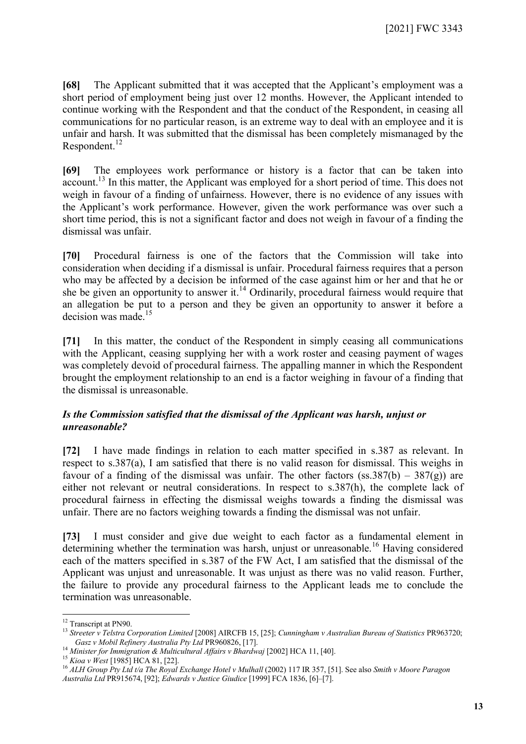**[68]** The Applicant submitted that it was accepted that the Applicant's employment was a short period of employment being just over 12 months. However, the Applicant intended to continue working with the Respondent and that the conduct of the Respondent, in ceasing all communications for no particular reason, is an extreme way to deal with an employee and it is unfair and harsh. It was submitted that the dismissal has been completely mismanaged by the Respondent.<sup>[12](#page-12-0)</sup>

**[69]** The employees work performance or history is a factor that can be taken into account.<sup>[13](#page-12-1)</sup> In this matter, the Applicant was employed for a short period of time. This does not weigh in favour of a finding of unfairness. However, there is no evidence of any issues with the Applicant's work performance. However, given the work performance was over such a short time period, this is not a significant factor and does not weigh in favour of a finding the dismissal was unfair.

**[70]** Procedural fairness is one of the factors that the Commission will take into consideration when deciding if a dismissal is unfair. Procedural fairness requires that a person who may be affected by a decision be informed of the case against him or her and that he or she be given an opportunity to answer it.<sup>[14](#page-12-2)</sup> Ordinarily, procedural fairness would require that an allegation be put to a person and they be given an opportunity to answer it before a decision was made.<sup>[15](#page-12-3)</sup>

**[71]** In this matter, the conduct of the Respondent in simply ceasing all communications with the Applicant, ceasing supplying her with a work roster and ceasing payment of wages was completely devoid of procedural fairness. The appalling manner in which the Respondent brought the employment relationship to an end is a factor weighing in favour of a finding that the dismissal is unreasonable.

# *Is the Commission satisfied that the dismissal of the Applicant was harsh, unjust or unreasonable?*

**[72]** I have made findings in relation to each matter specified in s.387 as relevant. In respect to s.387(a), I am satisfied that there is no valid reason for dismissal. This weighs in favour of a finding of the dismissal was unfair. The other factors  $(ss.387(b) - 387(g))$  are either not relevant or neutral considerations. In respect to s.387(h), the complete lack of procedural fairness in effecting the dismissal weighs towards a finding the dismissal was unfair. There are no factors weighing towards a finding the dismissal was not unfair.

**[73]** I must consider and give due weight to each factor as a fundamental element in determining whether the termination was harsh, unjust or unreasonable.<sup>[16](#page-12-4)</sup> Having considered each of the matters specified in s.387 of the FW Act, I am satisfied that the dismissal of the Applicant was unjust and unreasonable. It was unjust as there was no valid reason. Further, the failure to provide any procedural fairness to the Applicant leads me to conclude the termination was unreasonable.

<span id="page-12-0"></span><sup>&</sup>lt;sup>12</sup> Transcript at PN90.

<span id="page-12-1"></span><sup>13</sup> *Streeter v Telstra Corporation Limited* [2008] AIRCFB 15, [25]; *Cunningham v Australian Bureau of Statistics* PR963720; *Gasz v Mobil Refinery Australia Pty Ltd* PR960826, [17].

<span id="page-12-2"></span><sup>14</sup> *Minister for Immigration & Multicultural Affairs v Bhardwaj* [2002] HCA 11, [40].

<span id="page-12-3"></span><sup>15</sup> *Kioa v West* [1985] HCA 81, [22].

<span id="page-12-4"></span><sup>16</sup> *ALH Group Pty Ltd t/a The Royal Exchange Hotel v Mulhall* (2002) 117 IR 357, [51]. See also *Smith v Moore Paragon Australia Ltd* PR915674, [92]; *Edwards v Justice Giudice* [1999] FCA 1836, [6]–[7].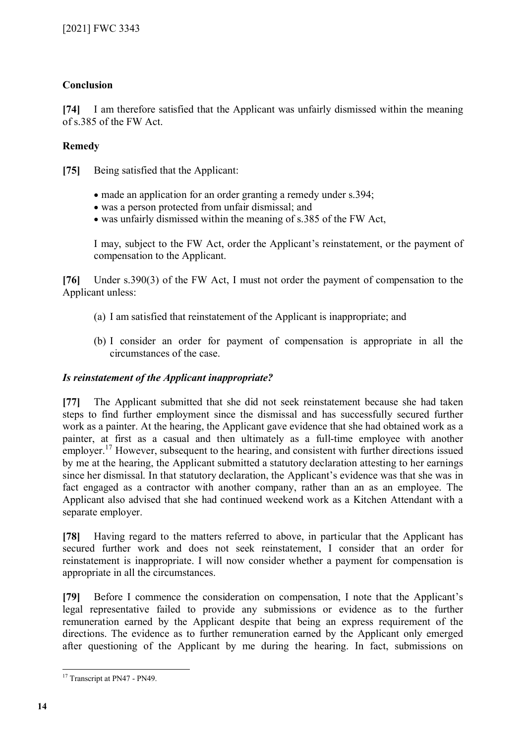# **Conclusion**

**[74]** I am therefore satisfied that the Applicant was unfairly dismissed within the meaning of s.385 of the FW Act.

# **Remedy**

**[75]** Being satisfied that the Applicant:

- made an application for an order granting a remedy under s.394;
- was a person protected from unfair dismissal; and
- was unfairly dismissed within the meaning of s.385 of the FW Act,

I may, subject to the FW Act, order the Applicant's reinstatement, or the payment of compensation to the Applicant.

**[76]** Under s.390(3) of the FW Act, I must not order the payment of compensation to the Applicant unless:

- (a) I am satisfied that reinstatement of the Applicant is inappropriate; and
- (b) I consider an order for payment of compensation is appropriate in all the circumstances of the case.

# *Is reinstatement of the Applicant inappropriate?*

**[77]** The Applicant submitted that she did not seek reinstatement because she had taken steps to find further employment since the dismissal and has successfully secured further work as a painter. At the hearing, the Applicant gave evidence that she had obtained work as a painter, at first as a casual and then ultimately as a full-time employee with another employer.<sup>[17](#page-13-0)</sup> However, subsequent to the hearing, and consistent with further directions issued by me at the hearing, the Applicant submitted a statutory declaration attesting to her earnings since her dismissal. In that statutory declaration, the Applicant's evidence was that she was in fact engaged as a contractor with another company, rather than an as an employee. The Applicant also advised that she had continued weekend work as a Kitchen Attendant with a separate employer.

**[78]** Having regard to the matters referred to above, in particular that the Applicant has secured further work and does not seek reinstatement, I consider that an order for reinstatement is inappropriate. I will now consider whether a payment for compensation is appropriate in all the circumstances.

**[79]** Before I commence the consideration on compensation, I note that the Applicant's legal representative failed to provide any submissions or evidence as to the further remuneration earned by the Applicant despite that being an express requirement of the directions. The evidence as to further remuneration earned by the Applicant only emerged after questioning of the Applicant by me during the hearing. In fact, submissions on

<span id="page-13-0"></span> $\overline{a}$ <sup>17</sup> Transcript at PN47 - PN49.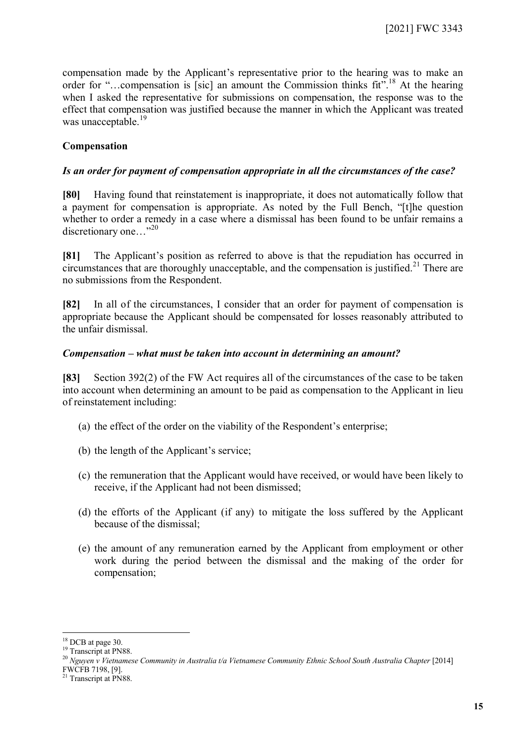compensation made by the Applicant's representative prior to the hearing was to make an order for "...compensation is [sic] an amount the Commission thinks fit".<sup>[18](#page-14-0)</sup> At the hearing when I asked the representative for submissions on compensation, the response was to the effect that compensation was justified because the manner in which the Applicant was treated was unacceptable.<sup>[19](#page-14-1)</sup>

# **Compensation**

# *Is an order for payment of compensation appropriate in all the circumstances of the case?*

**[80]** Having found that reinstatement is inappropriate, it does not automatically follow that a payment for compensation is appropriate. As noted by the Full Bench, "[t]he question whether to order a remedy in a case where a dismissal has been found to be unfair remains a discretionary one..."<sup>[20](#page-14-2)</sup>

**[81]** The Applicant's position as referred to above is that the repudiation has occurred in circumstances that are thoroughly unacceptable, and the compensation is justified.<sup>[21](#page-14-3)</sup> There are no submissions from the Respondent.

**[82]** In all of the circumstances, I consider that an order for payment of compensation is appropriate because the Applicant should be compensated for losses reasonably attributed to the unfair dismissal.

#### *Compensation – what must be taken into account in determining an amount?*

**[83]** Section 392(2) of the FW Act requires all of the circumstances of the case to be taken into account when determining an amount to be paid as compensation to the Applicant in lieu of reinstatement including:

- (a) the effect of the order on the viability of the Respondent's enterprise;
- (b) the length of the Applicant's service;
- (c) the remuneration that the Applicant would have received, or would have been likely to receive, if the Applicant had not been dismissed;
- (d) the efforts of the Applicant (if any) to mitigate the loss suffered by the Applicant because of the dismissal;
- (e) the amount of any remuneration earned by the Applicant from employment or other work during the period between the dismissal and the making of the order for compensation;

<span id="page-14-1"></span><span id="page-14-0"></span> $18$  DCB at page 30.

<sup>&</sup>lt;sup>19</sup> Transcript at PN88.

<span id="page-14-2"></span><sup>20</sup> *Nguyen v Vietnamese Community in Australia t/a Vietnamese Community Ethnic School South Australia Chapter* [2014]

<span id="page-14-3"></span>FWCFB 7198, [9].

<sup>&</sup>lt;sup>21</sup> Transcript at PN88.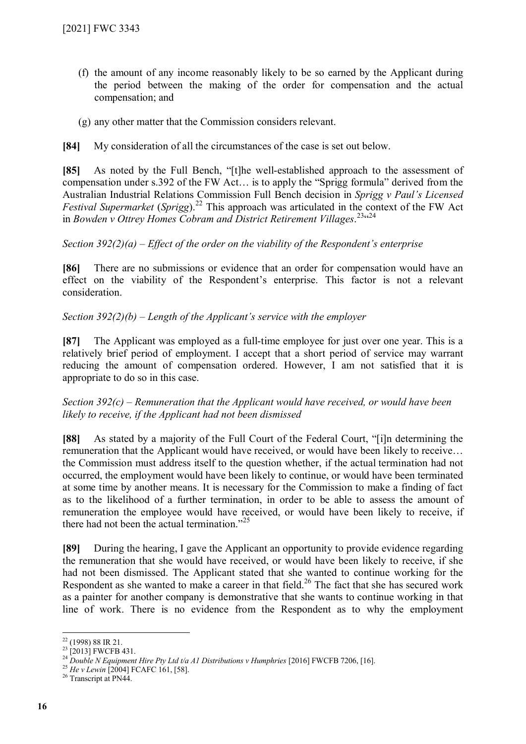- (f) the amount of any income reasonably likely to be so earned by the Applicant during the period between the making of the order for compensation and the actual compensation; and
- (g) any other matter that the Commission considers relevant.

**[84]** My consideration of all the circumstances of the case is set out below.

**[85]** As noted by the Full Bench, "[t]he well-established approach to the assessment of compensation under s.392 of the FW Act… is to apply the "Sprigg formula" derived from the Australian Industrial Relations Commission Full Bench decision in *Sprigg v Paul's Licensed Festival Supermarket* (*Sprigg*).[22](#page-15-0) This approach was articulated in the context of the FW Act in Bowden v Ottrey Homes Cobram and District Retirement Villages.<sup>[23](#page-15-1)</sup><sup>[24](#page-15-2)</sup>

#### *Section 392(2)(a) – Effect of the order on the viability of the Respondent's enterprise*

**[86]** There are no submissions or evidence that an order for compensation would have an effect on the viability of the Respondent's enterprise. This factor is not a relevant consideration.

#### *Section 392(2)(b) – Length of the Applicant's service with the employer*

**[87]** The Applicant was employed as a full-time employee for just over one year. This is a relatively brief period of employment. I accept that a short period of service may warrant reducing the amount of compensation ordered. However, I am not satisfied that it is appropriate to do so in this case.

#### *Section 392(c) – Remuneration that the Applicant would have received, or would have been likely to receive, if the Applicant had not been dismissed*

**[88]** As stated by a majority of the Full Court of the Federal Court, "[i]n determining the remuneration that the Applicant would have received, or would have been likely to receive… the Commission must address itself to the question whether, if the actual termination had not occurred, the employment would have been likely to continue, or would have been terminated at some time by another means. It is necessary for the Commission to make a finding of fact as to the likelihood of a further termination, in order to be able to assess the amount of remuneration the employee would have received, or would have been likely to receive, if there had not been the actual termination."<sup>[25](#page-15-3)</sup>

**[89]** During the hearing, I gave the Applicant an opportunity to provide evidence regarding the remuneration that she would have received, or would have been likely to receive, if she had not been dismissed. The Applicant stated that she wanted to continue working for the Respondent as she wanted to make a career in that field.<sup>[26](#page-15-4)</sup> The fact that she has secured work as a painter for another company is demonstrative that she wants to continue working in that line of work. There is no evidence from the Respondent as to why the employment

<span id="page-15-0"></span> $22$  (1998) 88 IR 21.

<span id="page-15-1"></span><sup>&</sup>lt;sup>23</sup> [2013] FWCFB 431.

<span id="page-15-3"></span><span id="page-15-2"></span><sup>&</sup>lt;sup>24</sup> Double N Equipment Hire Pty Ltd t/a A1 Distributions v Humphries [2016] FWCFB 7206, [16].

<sup>25</sup> *He v Lewin* [2004] FCAFC 161, [58].

<span id="page-15-4"></span><sup>&</sup>lt;sup>26</sup> Transcript at PN44.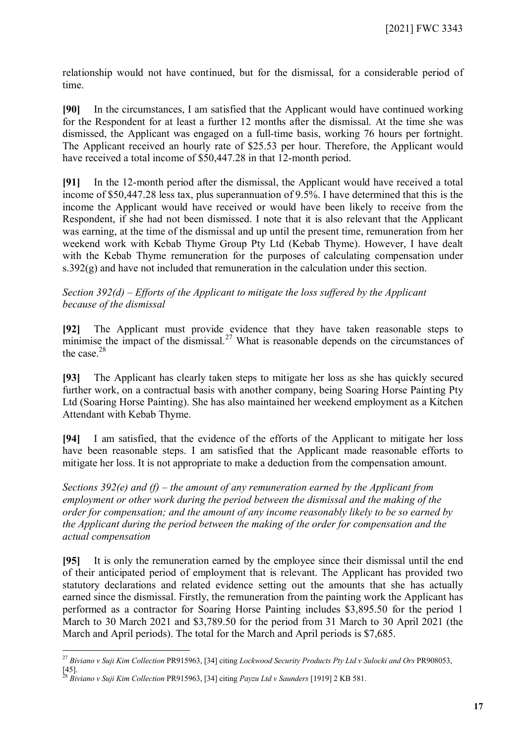relationship would not have continued, but for the dismissal, for a considerable period of time.

**[90]** In the circumstances, I am satisfied that the Applicant would have continued working for the Respondent for at least a further 12 months after the dismissal. At the time she was dismissed, the Applicant was engaged on a full-time basis, working 76 hours per fortnight. The Applicant received an hourly rate of \$25.53 per hour. Therefore, the Applicant would have received a total income of \$50,447.28 in that 12-month period.

**[91]** In the 12-month period after the dismissal, the Applicant would have received a total income of \$50,447.28 less tax, plus superannuation of 9.5%. I have determined that this is the income the Applicant would have received or would have been likely to receive from the Respondent, if she had not been dismissed. I note that it is also relevant that the Applicant was earning, at the time of the dismissal and up until the present time, remuneration from her weekend work with Kebab Thyme Group Pty Ltd (Kebab Thyme). However, I have dealt with the Kebab Thyme remuneration for the purposes of calculating compensation under s.392(g) and have not included that remuneration in the calculation under this section.

#### *Section 392(d) – Efforts of the Applicant to mitigate the loss suffered by the Applicant because of the dismissal*

**[92]** The Applicant must provide evidence that they have taken reasonable steps to minimise the impact of the dismissal.<sup>[27](#page-16-0)</sup> What is reasonable depends on the circumstances of the case  $^{28}$  $^{28}$  $^{28}$ 

**[93]** The Applicant has clearly taken steps to mitigate her loss as she has quickly secured further work, on a contractual basis with another company, being Soaring Horse Painting Pty Ltd (Soaring Horse Painting). She has also maintained her weekend employment as a Kitchen Attendant with Kebab Thyme.

**[94]** I am satisfied, that the evidence of the efforts of the Applicant to mitigate her loss have been reasonable steps. I am satisfied that the Applicant made reasonable efforts to mitigate her loss. It is not appropriate to make a deduction from the compensation amount.

*Sections 392(e) and (f) – the amount of any remuneration earned by the Applicant from employment or other work during the period between the dismissal and the making of the order for compensation; and the amount of any income reasonably likely to be so earned by the Applicant during the period between the making of the order for compensation and the actual compensation*

**[95]** It is only the remuneration earned by the employee since their dismissal until the end of their anticipated period of employment that is relevant. The Applicant has provided two statutory declarations and related evidence setting out the amounts that she has actually earned since the dismissal. Firstly, the remuneration from the painting work the Applicant has performed as a contractor for Soaring Horse Painting includes \$3,895.50 for the period 1 March to 30 March 2021 and \$3,789.50 for the period from 31 March to 30 April 2021 (the March and April periods). The total for the March and April periods is \$7,685.

<span id="page-16-0"></span><sup>27</sup> *Biviano v Suji Kim Collection* PR915963, [34] citing *Lockwood Security Products Pty Ltd v Sulocki and Ors* PR908053, [45].

<span id="page-16-1"></span><sup>28</sup> *Biviano v Suji Kim Collection* PR915963, [34] citing *Payzu Ltd v Saunders* [1919] 2 KB 581.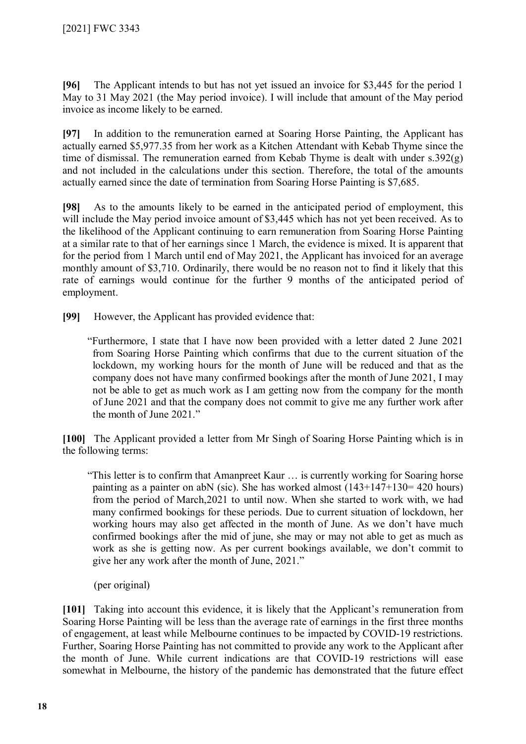**[96]** The Applicant intends to but has not yet issued an invoice for \$3,445 for the period 1 May to 31 May 2021 (the May period invoice). I will include that amount of the May period invoice as income likely to be earned.

**[97]** In addition to the remuneration earned at Soaring Horse Painting, the Applicant has actually earned \$5,977.35 from her work as a Kitchen Attendant with Kebab Thyme since the time of dismissal. The remuneration earned from Kebab Thyme is dealt with under s.392(g) and not included in the calculations under this section. Therefore, the total of the amounts actually earned since the date of termination from Soaring Horse Painting is \$7,685.

**[98]** As to the amounts likely to be earned in the anticipated period of employment, this will include the May period invoice amount of \$3,445 which has not yet been received. As to the likelihood of the Applicant continuing to earn remuneration from Soaring Horse Painting at a similar rate to that of her earnings since 1 March, the evidence is mixed. It is apparent that for the period from 1 March until end of May 2021, the Applicant has invoiced for an average monthly amount of \$3,710. Ordinarily, there would be no reason not to find it likely that this rate of earnings would continue for the further 9 months of the anticipated period of employment.

**[99]** However, the Applicant has provided evidence that:

"Furthermore, I state that I have now been provided with a letter dated 2 June 2021 from Soaring Horse Painting which confirms that due to the current situation of the lockdown, my working hours for the month of June will be reduced and that as the company does not have many confirmed bookings after the month of June 2021, I may not be able to get as much work as I am getting now from the company for the month of June 2021 and that the company does not commit to give me any further work after the month of June 2021."

**[100]** The Applicant provided a letter from Mr Singh of Soaring Horse Painting which is in the following terms:

"This letter is to confirm that Amanpreet Kaur … is currently working for Soaring horse painting as a painter on abN (sic). She has worked almost (143+147+130= 420 hours) from the period of March,2021 to until now. When she started to work with, we had many confirmed bookings for these periods. Due to current situation of lockdown, her working hours may also get affected in the month of June. As we don't have much confirmed bookings after the mid of june, she may or may not able to get as much as work as she is getting now. As per current bookings available, we don't commit to give her any work after the month of June, 2021."

(per original)

**[101]** Taking into account this evidence, it is likely that the Applicant's remuneration from Soaring Horse Painting will be less than the average rate of earnings in the first three months of engagement, at least while Melbourne continues to be impacted by COVID-19 restrictions. Further, Soaring Horse Painting has not committed to provide any work to the Applicant after the month of June. While current indications are that COVID-19 restrictions will ease somewhat in Melbourne, the history of the pandemic has demonstrated that the future effect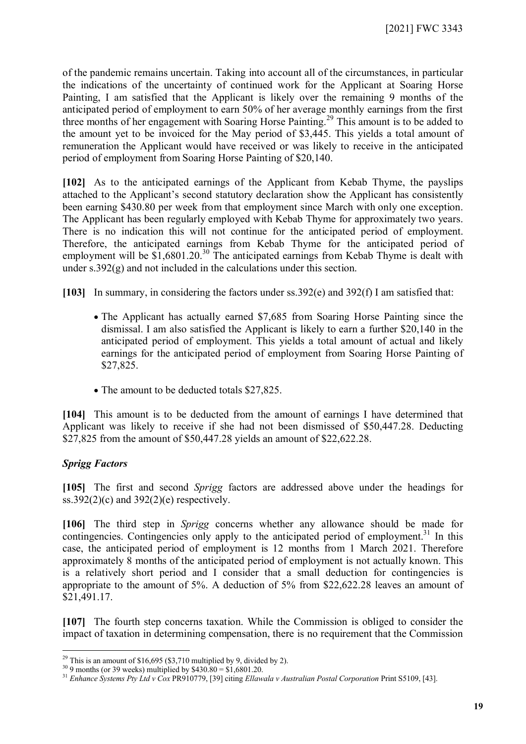of the pandemic remains uncertain. Taking into account all of the circumstances, in particular the indications of the uncertainty of continued work for the Applicant at Soaring Horse Painting, I am satisfied that the Applicant is likely over the remaining 9 months of the anticipated period of employment to earn 50% of her average monthly earnings from the first three months of her engagement with Soaring Horse Painting.[29](#page-18-0) This amount is to be added to the amount yet to be invoiced for the May period of \$3,445. This yields a total amount of remuneration the Applicant would have received or was likely to receive in the anticipated period of employment from Soaring Horse Painting of \$20,140.

**[102]** As to the anticipated earnings of the Applicant from Kebab Thyme, the payslips attached to the Applicant's second statutory declaration show the Applicant has consistently been earning \$430.80 per week from that employment since March with only one exception. The Applicant has been regularly employed with Kebab Thyme for approximately two years. There is no indication this will not continue for the anticipated period of employment. Therefore, the anticipated earnings from Kebab Thyme for the anticipated period of employment will be  $$1,6801.20.^{30}$  $$1,6801.20.^{30}$  $$1,6801.20.^{30}$  The anticipated earnings from Kebab Thyme is dealt with under  $s.392(\text{g})$  and not included in the calculations under this section.

**[103]** In summary, in considering the factors under ss.392(e) and 392(f) I am satisfied that:

- The Applicant has actually earned \$7,685 from Soaring Horse Painting since the dismissal. I am also satisfied the Applicant is likely to earn a further \$20,140 in the anticipated period of employment. This yields a total amount of actual and likely earnings for the anticipated period of employment from Soaring Horse Painting of \$27,825.
- The amount to be deducted totals \$27,825.

**[104]** This amount is to be deducted from the amount of earnings I have determined that Applicant was likely to receive if she had not been dismissed of \$50,447.28. Deducting \$27,825 from the amount of \$50,447.28 yields an amount of \$22,622.28.

# *Sprigg Factors*

 $\overline{a}$ 

**[105]** The first and second *Sprigg* factors are addressed above under the headings for  $\overline{\text{ss}}.392(2)(\text{c})$  and  $392(2)(\text{e})$  respectively.

**[106]** The third step in *Sprigg* concerns whether any allowance should be made for contingencies. Contingencies only apply to the anticipated period of employment.<sup>[31](#page-18-2)</sup> In this case, the anticipated period of employment is 12 months from 1 March 2021. Therefore approximately 8 months of the anticipated period of employment is not actually known. This is a relatively short period and I consider that a small deduction for contingencies is appropriate to the amount of 5%. A deduction of 5% from \$22,622.28 leaves an amount of \$21,491.17.

**[107]** The fourth step concerns taxation. While the Commission is obliged to consider the impact of taxation in determining compensation, there is no requirement that the Commission

<span id="page-18-0"></span><sup>&</sup>lt;sup>29</sup> This is an amount of \$16,695 (\$3,710 multiplied by 9, divided by 2).

<span id="page-18-1"></span> $30\overline{9}$  months (or 39 weeks) multiplied by \$430.80 = \$1,6801.20.

<span id="page-18-2"></span><sup>31</sup> *Enhance Systems Pty Ltd v Cox* PR910779, [39] citing *Ellawala v Australian Postal Corporation* Print S5109, [43].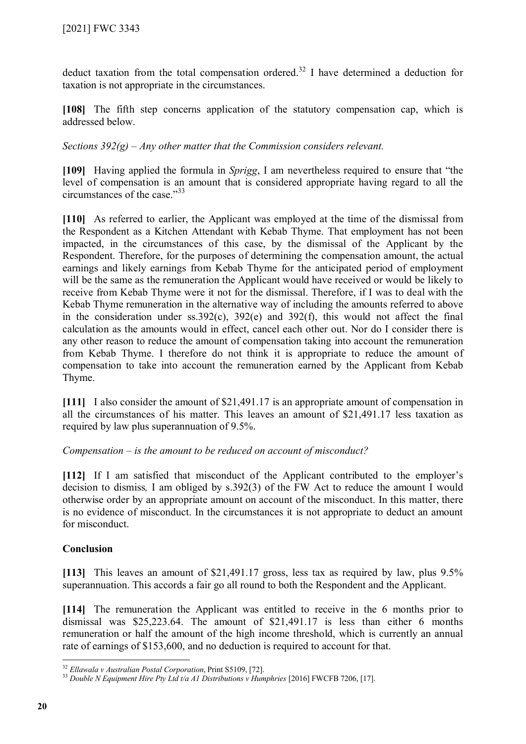deduct taxation from the total compensation ordered.<sup>[32](#page-19-0)</sup> I have determined a deduction for taxation is not appropriate in the circumstances.

**[108]** The fifth step concerns application of the statutory compensation cap, which is addressed below.

*Sections 392(g) – Any other matter that the Commission considers relevant.*

**[109]** Having applied the formula in *Sprigg*, I am nevertheless required to ensure that "the level of compensation is an amount that is considered appropriate having regard to all the circumstances of the case."[33](#page-19-1)

**[110]** As referred to earlier, the Applicant was employed at the time of the dismissal from the Respondent as a Kitchen Attendant with Kebab Thyme. That employment has not been impacted, in the circumstances of this case, by the dismissal of the Applicant by the Respondent. Therefore, for the purposes of determining the compensation amount, the actual earnings and likely earnings from Kebab Thyme for the anticipated period of employment will be the same as the remuneration the Applicant would have received or would be likely to receive from Kebab Thyme were it not for the dismissal. Therefore, if I was to deal with the Kebab Thyme remuneration in the alternative way of including the amounts referred to above in the consideration under ss.392(c), 392(e) and 392(f), this would not affect the final calculation as the amounts would in effect, cancel each other out. Nor do I consider there is any other reason to reduce the amount of compensation taking into account the remuneration from Kebab Thyme. I therefore do not think it is appropriate to reduce the amount of compensation to take into account the remuneration earned by the Applicant from Kebab Thyme.

**[111]** I also consider the amount of \$21,491.17 is an appropriate amount of compensation in all the circumstances of his matter. This leaves an amount of \$21,491.17 less taxation as required by law plus superannuation of 9.5%.

*Compensation – is the amount to be reduced on account of misconduct?*

**[112]** If I am satisfied that misconduct of the Applicant contributed to the employer's decision to dismiss*,* I am obliged by s.392(3) of the FW Act to reduce the amount I would otherwise order by an appropriate amount on account of the misconduct. In this matter, there is no evidence of misconduct. In the circumstances it is not appropriate to deduct an amount for misconduct.

# **Conclusion**

**[113]** This leaves an amount of \$21,491.17 gross, less tax as required by law, plus 9.5% superannuation. This accords a fair go all round to both the Respondent and the Applicant.

**[114]** The remuneration the Applicant was entitled to receive in the 6 months prior to dismissal was \$25,223.64. The amount of \$21,491.17 is less than either 6 months remuneration or half the amount of the high income threshold, which is currently an annual rate of earnings of \$153,600, and no deduction is required to account for that.

<span id="page-19-0"></span><sup>32</sup> *Ellawala v Australian Postal Corporation*, Print S5109, [72].

<span id="page-19-1"></span><sup>33</sup> *Double N Equipment Hire Pty Ltd t/a A1 Distributions v Humphries* [2016] FWCFB 7206, [17].